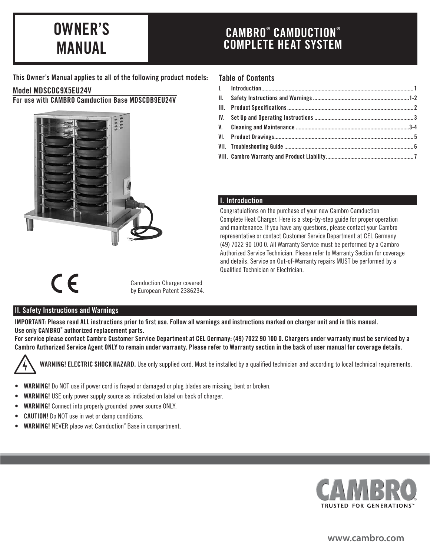# OWNER'S MANUAL

# CAMBRO® CAMDUCTION® COMPLETE HEAT SYSTEM

This Owner's Manual applies to all of the following product models:

#### Model MDSCDC9X5EU24V

For use with CAMBRO Camduction Base MDSCDB9EU24V



#### Table of Contents

# I. Introduction

Congratulations on the purchase of your new Cambro Camduction Complete Heat Charger. Here is a step-by-step guide for proper operation and maintenance. If you have any questions, please contact your Cambro representative or contact Customer Service Department at CEL Germany (49) 7022 90 100 0. All Warranty Service must be performed by a Cambro Authorized Service Technician. Please refer to Warranty Section for coverage and details. Service on Out-of-Warranty repairs MUST be performed by a Qualified Technician or Electrician.



Camduction Charger covered by European Patent 2386234.

#### II. Safety Instructions and Warnings

IMPORTANT: Please read ALL instructions prior to first use. Follow all warnings and instructions marked on charger unit and in this manual. Use only CAMBRO® authorized replacement parts.

For service please contact Cambro Customer Service Department at CEL Germany: (49) 7022 90 100 0. Chargers under warranty must be serviced by a Cambro Authorized Service Agent ONLY to remain under warranty. Please refer to Warranty section in the back of user manual for coverage details.



WARNING! ELECTRIC SHOCK HAZARD. Use only supplied cord. Must be installed by a qualified technician and according to local technical requirements.

- WARNING! Do NOT use if power cord is frayed or damaged or plug blades are missing, bent or broken.
- WARNING! USE only power supply source as indicated on label on back of charger.
- WARNING! Connect into properly grounded power source ONLY.
- **CAUTION!** Do NOT use in wet or damp conditions.
- WARNING! NEVER place wet Camduction® Base in compartment.



**www.cambro.com**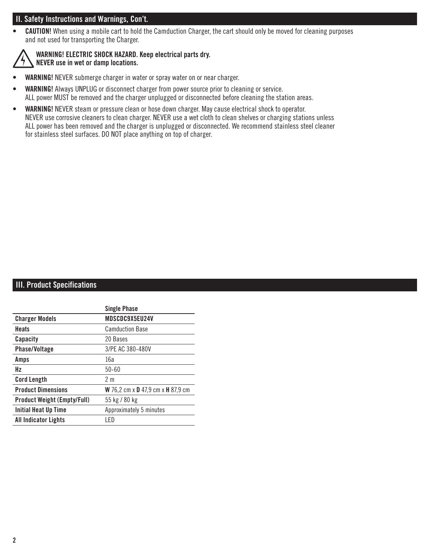# II. Safety Instructions and Warnings, Con't.

• CAUTION! When using a mobile cart to hold the Camduction Charger, the cart should only be moved for cleaning purposes and not used for transporting the Charger.



#### WARNING! ELECTRIC SHOCK HAZARD. Keep electrical parts dry. NEVER use in wet or damp locations.

- WARNING! NEVER submerge charger in water or spray water on or near charger.
- WARNING! Always UNPLUG or disconnect charger from power source prior to cleaning or service. ALL power MUST be removed and the charger unplugged or disconnected before cleaning the station areas.
- WARNING! NEVER steam or pressure clean or hose down charger. May cause electrical shock to operator. NEVER use corrosive cleaners to clean charger. NEVER use a wet cloth to clean shelves or charging stations unless ALL power has been removed and the charger is unplugged or disconnected. We recommend stainless steel cleaner for stainless steel surfaces. DO NOT place anything on top of charger.

# **III. Product Specifications**

| <b>Single Phase</b>               |
|-----------------------------------|
| MDSCDC9X5EU24V                    |
| <b>Camduction Base</b>            |
| 20 Bases                          |
| 3/PE AC 380-480V                  |
| 16a                               |
| $50 - 60$                         |
| 2 <sub>m</sub>                    |
| W 76,2 cm x D 47,9 cm x H 87,9 cm |
| 55 kg / 80 kg                     |
| Approximately 5 minutes           |
| I FD                              |
|                                   |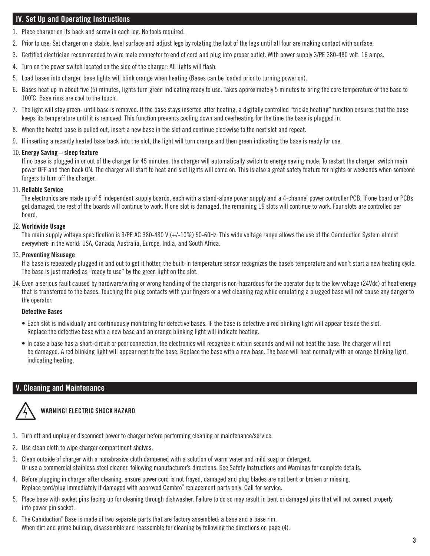# IV. Set Up and Operating Instructions

- 1. Place charger on its back and screw in each leg. No tools required.
- 2. Prior to use: Set charger on a stable, level surface and adjust legs by rotating the foot of the legs until all four are making contact with surface.
- 3. Certified electrician recommended to wire male connector to end of cord and plug into proper outlet. With power supply 3/PE 380-480 volt, 16 amps.
- 4. Turn on the power switch located on the side of the charger: All lights will flash.
- 5. Load bases into charger, base lights will blink orange when heating (Bases can be loaded prior to turning power on).
- 6. Bases heat up in about five (5) minutes, lights turn green indicating ready to use. Takes approximately 5 minutes to bring the core temperature of the base to 100˚C. Base rims are cool to the touch.
- 7. The light will stay green- until base is removed. If the base stays inserted after heating, a digitally controlled "trickle heating" function ensures that the base keeps its temperature until it is removed. This function prevents cooling down and overheating for the time the base is plugged in.
- 8. When the heated base is pulled out, insert a new base in the slot and continue clockwise to the next slot and repeat.
- 9. If inserting a recently heated base back into the slot, the light will turn orange and then green indicating the base is ready for use.

#### 10. Energy Saving – sleep feature

If no base is plugged in or out of the charger for 45 minutes, the charger will automatically switch to energy saving mode. To restart the charger, switch main power OFF and then back ON. The charger will start to heat and slot lights will come on. This is also a great safety feature for nights or weekends when someone forgets to turn off the charger.

#### 11. Reliable Service

The electronics are made up of 5 independent supply boards, each with a stand-alone power supply and a 4-channel power controller PCB. If one board or PCBs get damaged, the rest of the boards will continue to work. If one slot is damaged, the remaining 19 slots will continue to work. Four slots are controlled per board.

#### 12. Worldwide Usage

The main supply voltage specification is 3/PE AC 380-480 V (+/-10%) 50-60Hz. This wide voltage range allows the use of the Camduction System almost everywhere in the world: USA, Canada, Australia, Europe, India, and South Africa.

#### 13. Preventing Misusage

If a base is repeatedly plugged in and out to get it hotter, the built-in temperature sensor recognizes the base's temperature and won't start a new heating cycle. The base is just marked as "ready to use" by the green light on the slot.

14. Even a serious fault caused by hardware/wiring or wrong handling of the charger is non-hazardous for the operator due to the low voltage (24Vdc) of heat energy that is transferred to the bases. Touching the plug contacts with your fingers or a wet cleaning rag while emulating a plugged base will not cause any danger to the operator.

#### Defective Bases

- Each slot is individually and continuously monitoring for defective bases. IF the base is defective a red blinking light will appear beside the slot. Replace the defective base with a new base and an orange blinking light will indicate heating.
- In case a base has a short-circuit or poor connection, the electronics will recognize it within seconds and will not heat the base. The charger will not be damaged. A red blinking light will appear next to the base. Replace the base with a new base. The base will heat normally with an orange blinking light, indicating heating.

# V. Cleaning and Maintenance



# WARNING! ELECTRIC SHOCK HAZARD

- 1. Turn off and unplug or disconnect power to charger before performing cleaning or maintenance/service.
- 2. Use clean cloth to wipe charger compartment shelves.
- 3. Clean outside of charger with a nonabrasive cloth dampened with a solution of warm water and mild soap or detergent. Or use a commercial stainless steel cleaner, following manufacturer's directions. See Safety Instructions and Warnings for complete details.
- 4. Before plugging in charger after cleaning, ensure power cord is not frayed, damaged and plug blades are not bent or broken or missing. Replace cord/plug immediately if damaged with approved Cambro® replacement parts only. Call for service.
- 5. Place base with socket pins facing up for cleaning through dishwasher. Failure to do so may result in bent or damaged pins that will not connect properly into power pin socket.
- 6. The Camduction® Base is made of two separate parts that are factory assembled: a base and a base rim. When dirt and grime buildup, disassemble and reassemble for cleaning by following the directions on page (4).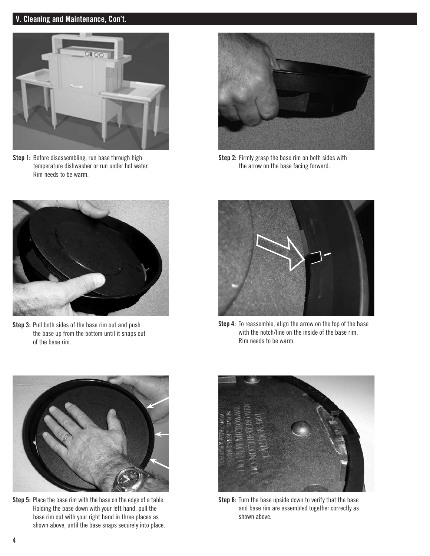# V. Cleaning and Maintenance, Con't.



Step 1: Before disassembling, run base through high temperature dishwasher or run under hot water. Rim needs to be warm.



Step 2: Firmly grasp the base rim on both sides with the arrow on the base facing forward.



Step 3: Pull both sides of the base rim out and push the base up from the bottom until it snaps out of the base rim.



Step 4: To reassemble, align the arrow on the top of the base with the notch/line on the inside of the base rim. Rim needs to be warm.



Step 5: Place the base rim with the base on the edge of a table. Holding the base down with your left hand, pull the base rim out with your right hand in three places as shown above, until the base snaps securely into place.



Step 6: Turn the base upside down to verify that the base and base rim are assembled together correctly as shown above.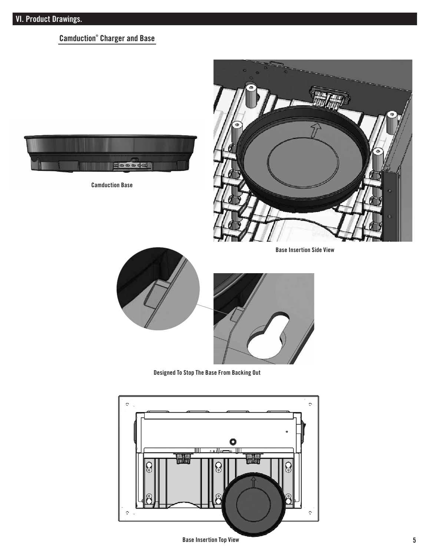# Camduction® Charger and Base



Camduction Base



Base Insertion Side View





Designed To Stop The Base From Backing Out



Base Insertion Top View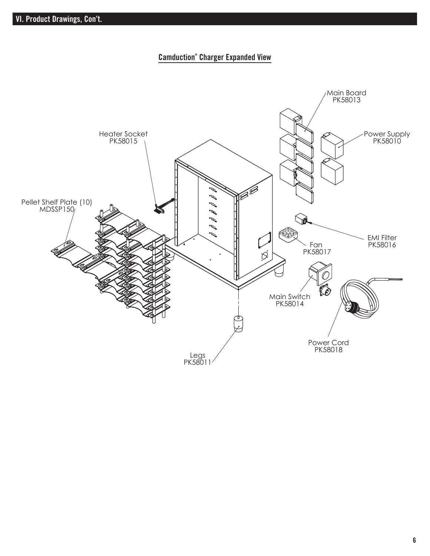# Camduction® Charger Expanded View

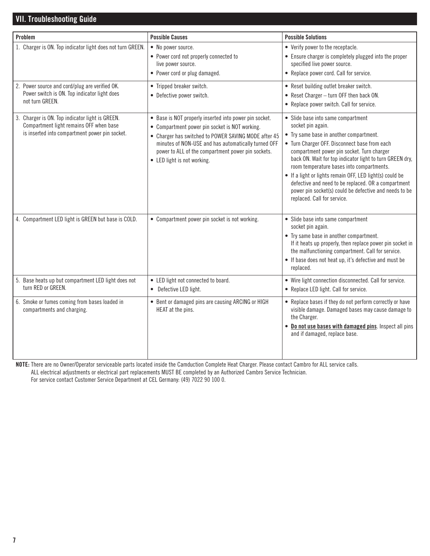# VII. Troubleshooting Guide

| Problem                                                                                                                                      |                                                                                                                                                                                                                                                                                                              | <b>Possible Solutions</b>                                                                                                                                                                                                                                                                                                                                                                                                                                                                                              |
|----------------------------------------------------------------------------------------------------------------------------------------------|--------------------------------------------------------------------------------------------------------------------------------------------------------------------------------------------------------------------------------------------------------------------------------------------------------------|------------------------------------------------------------------------------------------------------------------------------------------------------------------------------------------------------------------------------------------------------------------------------------------------------------------------------------------------------------------------------------------------------------------------------------------------------------------------------------------------------------------------|
|                                                                                                                                              | <b>Possible Causes</b>                                                                                                                                                                                                                                                                                       |                                                                                                                                                                                                                                                                                                                                                                                                                                                                                                                        |
| 1. Charger is ON. Top indicator light does not turn GREEN.                                                                                   | • No power source.<br>• Power cord not properly connected to<br>live power source.<br>• Power cord or plug damaged.                                                                                                                                                                                          | • Verify power to the receptacle.<br>• Ensure charger is completely plugged into the proper<br>specified live power source.<br>• Replace power cord. Call for service.                                                                                                                                                                                                                                                                                                                                                 |
| 2. Power source and cord/plug are verified OK.<br>Power switch is ON. Top indicator light does<br>not turn GREEN.                            | • Tripped breaker switch.<br>• Defective power switch.                                                                                                                                                                                                                                                       | • Reset building outlet breaker switch.<br>• Reset Charger - turn OFF then back ON.<br>• Replace power switch. Call for service.                                                                                                                                                                                                                                                                                                                                                                                       |
| 3. Charger is ON. Top indicator light is GREEN.<br>Compartment light remains OFF when base<br>is inserted into compartment power pin socket. | • Base is NOT properly inserted into power pin socket.<br>• Compartment power pin socket is NOT working.<br>• Charger has switched to POWER SAVING MODE after 45<br>minutes of NON-USE and has automatically turned OFF<br>power to ALL of the compartment power pin sockets.<br>• LED light is not working. | • Slide base into same compartment<br>socket pin again.<br>• Try same base in another compartment.<br>• Turn Charger OFF. Disconnect base from each<br>compartment power pin socket. Turn charger<br>back ON. Wait for top indicator light to turn GREEN dry,<br>room temperature bases into compartments.<br>• If a light or lights remain OFF, LED light(s) could be<br>defective and need to be replaced. OR a compartment<br>power pin socket(s) could be defective and needs to be<br>replaced. Call for service. |
| 4. Compartment LED light is GREEN but base is COLD.                                                                                          | • Compartment power pin socket is not working.                                                                                                                                                                                                                                                               | • Slide base into same compartment<br>socket pin again.<br>• Try same base in another compartment.<br>If it heats up properly, then replace power pin socket in<br>the malfunctioning compartment. Call for service.<br>• If base does not heat up, it's defective and must be<br>replaced.                                                                                                                                                                                                                            |
| 5. Base heats up but compartment LED light does not<br>turn RED or GREEN.                                                                    | • LED light not connected to board.<br>• Defective LED light.                                                                                                                                                                                                                                                | • Wire light connection disconnected. Call for service.<br>• Replace LED light. Call for service.                                                                                                                                                                                                                                                                                                                                                                                                                      |
| 6. Smoke or fumes coming from bases loaded in<br>compartments and charging.                                                                  | • Bent or damaged pins are causing ARCING or HIGH<br>HEAT at the pins.                                                                                                                                                                                                                                       | • Replace bases if they do not perform correctly or have<br>visible damage. Damaged bases may cause damage to<br>the Charger.<br>. Do not use bases with damaged pins. Inspect all pins<br>and if damaged, replace base.                                                                                                                                                                                                                                                                                               |

NOTE: There are no Owner/Operator serviceable parts located inside the Camduction Complete Heat Charger. Please contact Cambro for ALL service calls.

ALL electrical adjustments or electrical part replacements MUST BE completed by an Authorized Cambro Service Technician.

For service contact Customer Service Department at CEL Germany: (49) 7022 90 100 0.